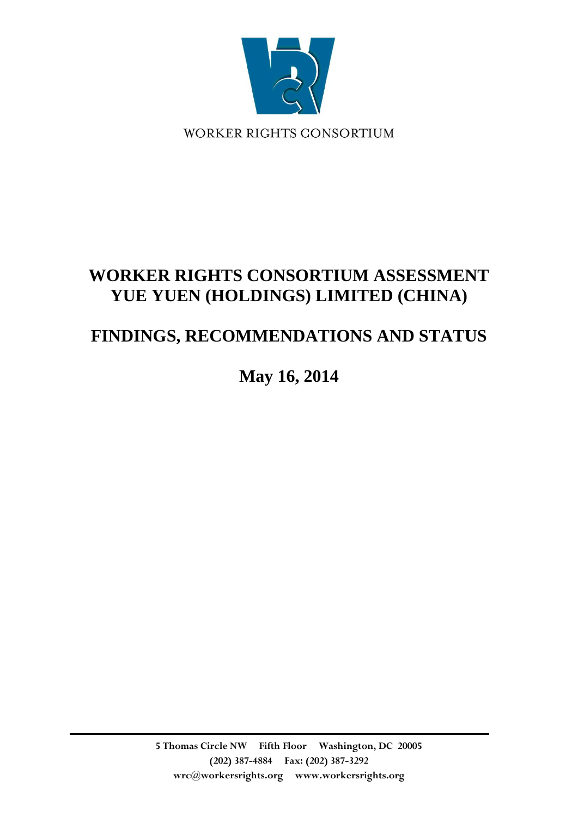

WORKER RIGHTS CONSORTIUM

# **WORKER RIGHTS CONSORTIUM ASSESSMENT YUE YUEN (HOLDINGS) LIMITED (CHINA)**

# **FINDINGS, RECOMMENDATIONS AND STATUS**

**May 16, 2014**

**5 Thomas Circle NW Fifth Floor Washington, DC 20005 (202) 387-4884 Fax: (202) 387-3292 wrc@workersrights.org www.workersrights.org**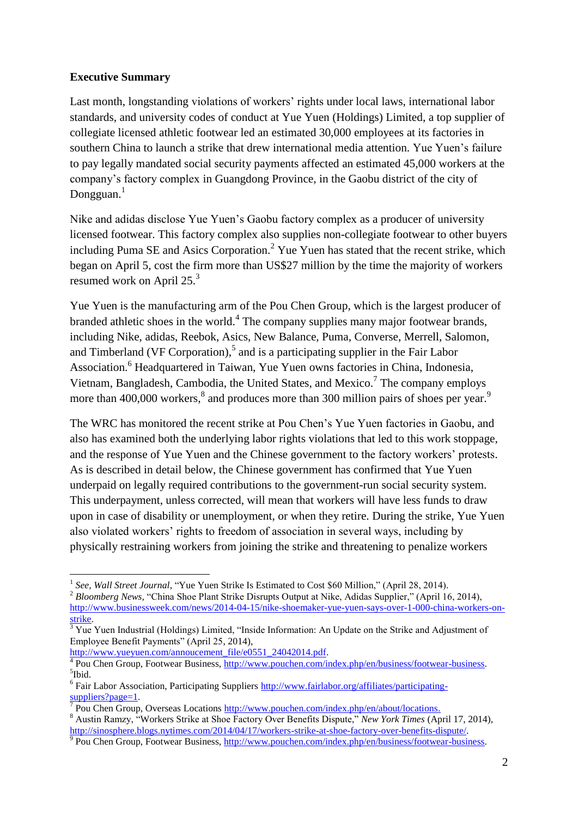# **Executive Summary**

Last month, longstanding violations of workers' rights under local laws, international labor standards, and university codes of conduct at Yue Yuen (Holdings) Limited, a top supplier of collegiate licensed athletic footwear led an estimated 30,000 employees at its factories in southern China to launch a strike that drew international media attention. Yue Yuen's failure to pay legally mandated social security payments affected an estimated 45,000 workers at the company's factory complex in Guangdong Province, in the Gaobu district of the city of Dongguan.<sup>1</sup>

Nike and adidas disclose Yue Yuen's Gaobu factory complex as a producer of university licensed footwear. This factory complex also supplies non-collegiate footwear to other buyers including Puma SE and Asics Corporation.<sup>2</sup> Yue Yuen has stated that the recent strike, which began on April 5, cost the firm more than US\$27 million by the time the majority of workers resumed work on April 25.<sup>3</sup>

Yue Yuen is the manufacturing arm of the Pou Chen Group, which is the largest producer of branded athletic shoes in the world.<sup>4</sup> The company supplies many major footwear brands, including Nike, adidas, Reebok, Asics, New Balance, Puma, Converse, Merrell, Salomon, and Timberland (VF Corporation),<sup>5</sup> and is a participating supplier in the Fair Labor Association.<sup>6</sup> Headquartered in Taiwan, Yue Yuen owns factories in China, Indonesia, Vietnam, Bangladesh, Cambodia, the United States, and Mexico.<sup>7</sup> The company employs more than  $400,000$  workers,  $8$  and produces more than 300 million pairs of shoes per year.<sup>9</sup>

The WRC has monitored the recent strike at Pou Chen's Yue Yuen factories in Gaobu, and also has examined both the underlying labor rights violations that led to this work stoppage, and the response of Yue Yuen and the Chinese government to the factory workers' protests. As is described in detail below, the Chinese government has confirmed that Yue Yuen underpaid on legally required contributions to the government-run social security system. This underpayment, unless corrected, will mean that workers will have less funds to draw upon in case of disability or unemployment, or when they retire. During the strike, Yue Yuen also violated workers' rights to freedom of association in several ways, including by physically restraining workers from joining the strike and threatening to penalize workers

[http://www.yueyuen.com/annoucement\\_file/e0551\\_24042014.pdf.](http://www.yueyuen.com/annoucement_file/e0551_24042014.pdf)

 1 *See, Wall Street Journal*, "Yue Yuen Strike Is Estimated to Cost \$60 Million," (April 28, 2014). <sup>2</sup> Bloomberg News, "China Shoe Plant Strike Disrupts Output at Nike, Adidas Supplier," (April 16, 2014), [http://www.businessweek.com/news/2014-04-15/nike-shoemaker-yue-yuen-says-over-1-000-china-workers-on](http://www.businessweek.com/news/2014-04-15/nike-shoemaker-yue-yuen-says-over-1-000-china-workers-on-strike)[strike.](http://www.businessweek.com/news/2014-04-15/nike-shoemaker-yue-yuen-says-over-1-000-china-workers-on-strike)

 $\sqrt[3]{3}$  Yuen Industrial (Holdings) Limited, "Inside Information: An Update on the Strike and Adjustment of Employee Benefit Payments" (April 25, 2014),

<sup>&</sup>lt;sup>4</sup> Pou Chen Group, Footwear Business, [http://www.pouchen.com/index.php/en/business/footwear-business.](http://www.pouchen.com/index.php/en/business/footwear-business) 5 Ibid.

<sup>&</sup>lt;sup>6</sup> Fair Labor Association, Participating Suppliers [http://www.fairlabor.org/affiliates/participating-](http://www.fairlabor.org/affiliates/participating-suppliers?page=1) $\frac{\text{suppliers?page}=1}{\text{Sum?}$ 

Pou Chen Group, Overseas Locations [http://www.pouchen.com/index.php/en/about/locations.](http://www.pouchen.com/index.php/en/about/locations)

<sup>8</sup> Austin Ramzy, "Workers Strike at Shoe Factory Over Benefits Dispute," *New York Times* (April 17, 2014), http://sinosphere.blogs.nytimes.com/2014/04/17/workers-strike-at-shoe-factory-over-benefits-dispute/<br><sup>9</sup> Pou Chen Group, Footwear Business, <u>http://www.pouchen.com/index.php/en/business</u>/footwear-business.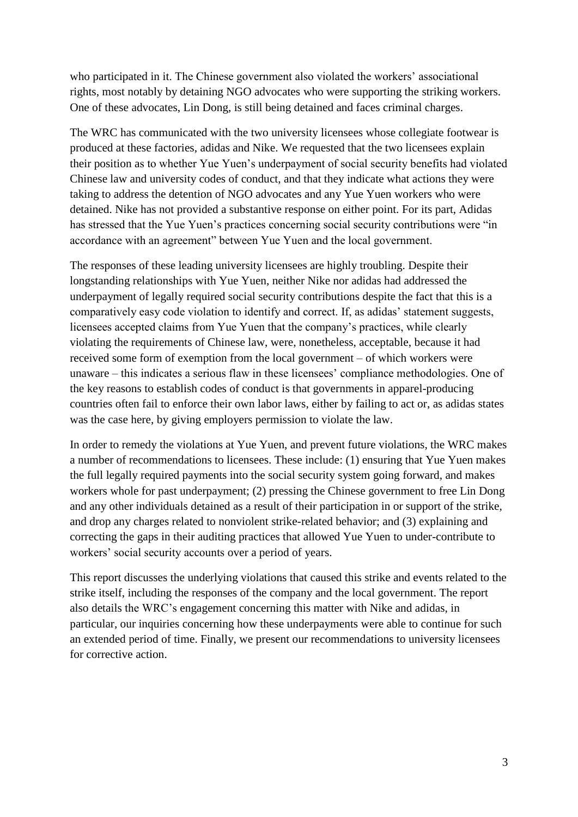who participated in it. The Chinese government also violated the workers' associational rights, most notably by detaining NGO advocates who were supporting the striking workers. One of these advocates, Lin Dong, is still being detained and faces criminal charges.

The WRC has communicated with the two university licensees whose collegiate footwear is produced at these factories, adidas and Nike. We requested that the two licensees explain their position as to whether Yue Yuen's underpayment of social security benefits had violated Chinese law and university codes of conduct, and that they indicate what actions they were taking to address the detention of NGO advocates and any Yue Yuen workers who were detained. Nike has not provided a substantive response on either point. For its part, Adidas has stressed that the Yue Yuen's practices concerning social security contributions were "in accordance with an agreement" between Yue Yuen and the local government.

The responses of these leading university licensees are highly troubling. Despite their longstanding relationships with Yue Yuen, neither Nike nor adidas had addressed the underpayment of legally required social security contributions despite the fact that this is a comparatively easy code violation to identify and correct. If, as adidas' statement suggests, licensees accepted claims from Yue Yuen that the company's practices, while clearly violating the requirements of Chinese law, were, nonetheless, acceptable, because it had received some form of exemption from the local government – of which workers were unaware – this indicates a serious flaw in these licensees' compliance methodologies. One of the key reasons to establish codes of conduct is that governments in apparel-producing countries often fail to enforce their own labor laws, either by failing to act or, as adidas states was the case here, by giving employers permission to violate the law.

In order to remedy the violations at Yue Yuen, and prevent future violations, the WRC makes a number of recommendations to licensees. These include: (1) ensuring that Yue Yuen makes the full legally required payments into the social security system going forward, and makes workers whole for past underpayment; (2) pressing the Chinese government to free Lin Dong and any other individuals detained as a result of their participation in or support of the strike, and drop any charges related to nonviolent strike-related behavior; and (3) explaining and correcting the gaps in their auditing practices that allowed Yue Yuen to under-contribute to workers' social security accounts over a period of years.

This report discusses the underlying violations that caused this strike and events related to the strike itself, including the responses of the company and the local government. The report also details the WRC's engagement concerning this matter with Nike and adidas, in particular, our inquiries concerning how these underpayments were able to continue for such an extended period of time. Finally, we present our recommendations to university licensees for corrective action.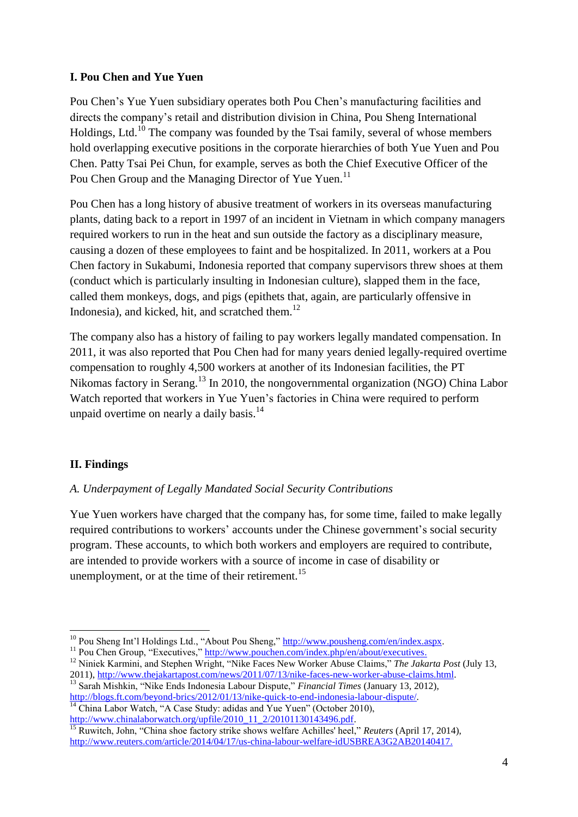# **I. Pou Chen and Yue Yuen**

Pou Chen's Yue Yuen subsidiary operates both Pou Chen's manufacturing facilities and directs the company's retail and distribution division in China, Pou Sheng International Holdings, Ltd.<sup>10</sup> The company was founded by the Tsai family, several of whose members hold overlapping executive positions in the corporate hierarchies of both Yue Yuen and Pou Chen. Patty Tsai Pei Chun, for example, serves as both the Chief Executive Officer of the Pou Chen Group and the Managing Director of Yue Yuen.<sup>11</sup>

Pou Chen has a long history of abusive treatment of workers in its overseas manufacturing plants, dating back to a report in 1997 of an incident in Vietnam in which company managers required workers to run in the heat and sun outside the factory as a disciplinary measure, causing a dozen of these employees to faint and be hospitalized. In 2011, workers at a Pou Chen factory in Sukabumi, Indonesia reported that company supervisors threw shoes at them (conduct which is particularly insulting in Indonesian culture), slapped them in the face, called them monkeys, dogs, and pigs (epithets that, again, are particularly offensive in Indonesia), and kicked, hit, and scratched them.<sup>12</sup>

The company also has a history of failing to pay workers legally mandated compensation. In 2011, it was also reported that Pou Chen had for many years denied legally-required overtime compensation to roughly 4,500 workers at another of its Indonesian facilities, the PT Nikomas factory in Serang.<sup>13</sup> In 2010, the nongovernmental organization (NGO) China Labor Watch reported that workers in Yue Yuen's factories in China were required to perform unpaid overtime on nearly a daily basis.<sup>14</sup>

# **II. Findings**

**.** 

#### *A. Underpayment of Legally Mandated Social Security Contributions*

Yue Yuen workers have charged that the company has, for some time, failed to make legally required contributions to workers' accounts under the Chinese government's social security program. These accounts, to which both workers and employers are required to contribute, are intended to provide workers with a source of income in case of disability or unemployment, or at the time of their retirement.<sup>15</sup>

[http://www.chinalaborwatch.org/upfile/2010\\_11\\_2/20101130143496.pdf.](http://www.chinalaborwatch.org/upfile/2010_11_2/20101130143496.pdf)

 $10$  Pou Sheng Int'l Holdings Ltd., "About Pou Sheng," [http://www.pousheng.com/en/index.aspx.](http://www.pousheng.com/en/index.aspx)

<sup>&</sup>lt;sup>11</sup> Pou Chen Group, "Executives," [http://www.pouchen.com/index.php/en/about/executives.](http://www.pouchen.com/index.php/en/about/executives)

<sup>&</sup>lt;sup>12</sup> Niniek Karmini, and Stephen Wright, "Nike Faces New Worker Abuse Claims," *The Jakarta Post* (July 13, 2011), [http://www.thejakartapost.com/news/2011/07/13/nike-faces-new-worker-abuse-claims.html.](http://www.thejakartapost.com/news/2011/07/13/nike-faces-new-worker-abuse-claims.html)

<sup>13</sup> Sarah Mishkin, "Nike Ends Indonesia Labour Dispute," *Financial Times* (January 13, 2012), [http://blogs.ft.com/beyond-brics/2012/01/13/nike-quick-to-end-indonesia-labour-dispute/.](http://blogs.ft.com/beyond-brics/2012/01/13/nike-quick-to-end-indonesia-labour-dispute/)  $\frac{14}{14}$  China Labor Watch, "A Case Study: adidas and Yue Yuen" (October 2010),

<sup>15</sup> Ruwitch, John, "China shoe factory strike shows welfare Achilles' heel," *Reuters* (April 17, 2014), [http://www.reuters.com/article/2014/04/17/us-china-labour-welfare-idUSBREA3G2AB20140417.](http://www.reuters.com/article/2014/04/17/us-china-labour-welfare-idUSBREA3G2AB20140417)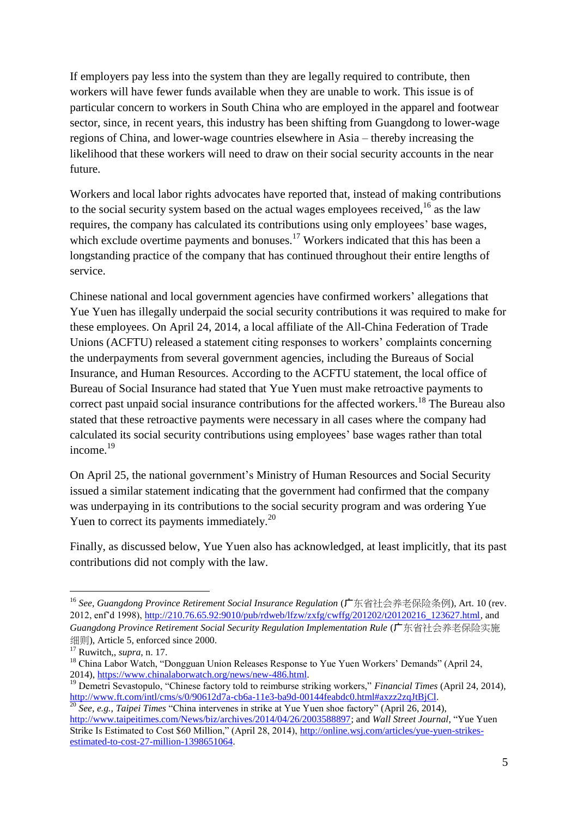If employers pay less into the system than they are legally required to contribute, then workers will have fewer funds available when they are unable to work. This issue is of particular concern to workers in South China who are employed in the apparel and footwear sector, since, in recent years, this industry has been shifting from Guangdong to lower-wage regions of China, and lower-wage countries elsewhere in Asia – thereby increasing the likelihood that these workers will need to draw on their social security accounts in the near future.

Workers and local labor rights advocates have reported that, instead of making contributions to the social security system based on the actual wages employees received.<sup>16</sup> as the law requires, the company has calculated its contributions using only employees' base wages, which exclude overtime payments and bonuses.<sup>17</sup> Workers indicated that this has been a longstanding practice of the company that has continued throughout their entire lengths of service.

Chinese national and local government agencies have confirmed workers' allegations that Yue Yuen has illegally underpaid the social security contributions it was required to make for these employees. On April 24, 2014, a local affiliate of the All-China Federation of Trade Unions (ACFTU) released a statement citing responses to workers' complaints concerning the underpayments from several government agencies, including the Bureaus of Social Insurance, and Human Resources. According to the ACFTU statement, the local office of Bureau of Social Insurance had stated that Yue Yuen must make retroactive payments to correct past unpaid social insurance contributions for the affected workers.<sup>18</sup> The Bureau also stated that these retroactive payments were necessary in all cases where the company had calculated its social security contributions using employees' base wages rather than total income.<sup>19</sup>

On April 25, the national government's Ministry of Human Resources and Social Security issued a similar statement indicating that the government had confirmed that the company was underpaying in its contributions to the social security program and was ordering Yue Yuen to correct its payments immediately.<sup>20</sup>

Finally, as discussed below, Yue Yuen also has acknowledged, at least implicitly, that its past contributions did not comply with the law.

 $\overline{\phantom{a}}$ 

<sup>16</sup> *See*, *Guangdong Province Retirement Social Insurance Regulation* (广东省社会养老保险条例), Art. 10 (rev. 2012, enf'd 1998), [http://210.76.65.92:9010/pub/rdweb/lfzw/zxfg/cwffg/201202/t20120216\\_123627.html,](http://210.76.65.92:9010/pub/rdweb/lfzw/zxfg/cwffg/201202/t20120216_123627.html) and *Guangdong Province Retirement Social Security Regulation Implementation Rule* (广东省社会养老保险实施 细则), Article 5, enforced since 2000.

<sup>17</sup> Ruwitch,, *supra,* n. 17.

<sup>&</sup>lt;sup>18</sup> China Labor Watch, "Dongguan Union Releases Response to Yue Yuen Workers' Demands" (April 24, 2014), [https://www.chinalaborwatch.org/news/new-486.html.](https://www.chinalaborwatch.org/news/new-486.html)

<sup>&</sup>lt;sup>19</sup> Demetri Sevastopulo, "Chinese factory told to reimburse striking workers," *Financial Times* (April 24, 2014), [http://www.ft.com/intl/cms/s/0/90612d7a-cb6a-11e3-ba9d-00144feabdc0.html#axzz2zqJtBjCl.](http://www.ft.com/intl/cms/s/0/90612d7a-cb6a-11e3-ba9d-00144feabdc0.html#axzz2zqJtBjCl)

<sup>20</sup> *See, e.g., Taipei Times* "China intervenes in strike at Yue Yuen shoe factory" (April 26, 2014), [http://www.taipeitimes.com/News/biz/archives/2014/04/26/2003588897;](http://www.taipeitimes.com/News/biz/archives/2014/04/26/2003588897) and *Wall Street Journal*, "Yue Yuen Strike Is Estimated to Cost \$60 Million," (April 28, 2014), [http://online.wsj.com/articles/yue-yuen-strikes](http://online.wsj.com/articles/yue-yuen-strikes-estimated-to-cost-27-million-1398651064)[estimated-to-cost-27-million-1398651064.](http://online.wsj.com/articles/yue-yuen-strikes-estimated-to-cost-27-million-1398651064)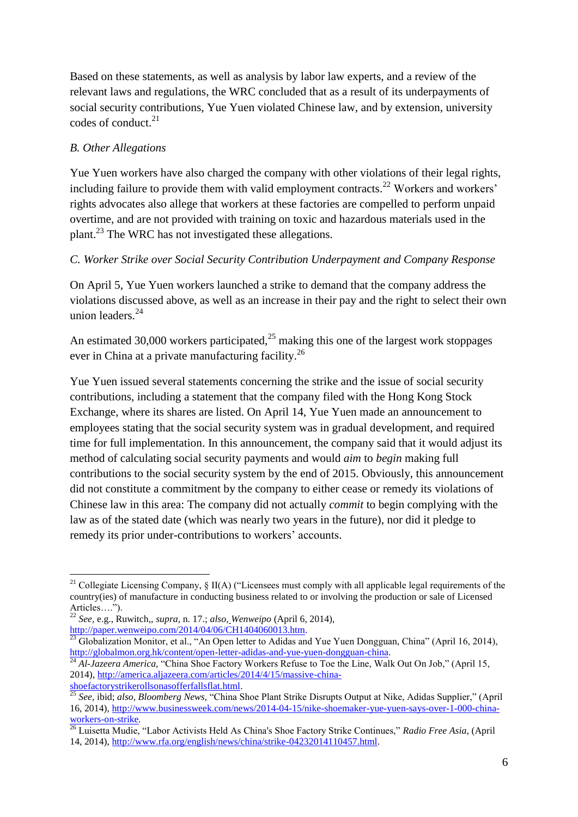Based on these statements, as well as analysis by labor law experts, and a review of the relevant laws and regulations, the WRC concluded that as a result of its underpayments of social security contributions, Yue Yuen violated Chinese law, and by extension, university codes of conduct. 21

# *B. Other Allegations*

Yue Yuen workers have also charged the company with other violations of their legal rights, including failure to provide them with valid employment contracts.<sup>22</sup> Workers and workers' rights advocates also allege that workers at these factories are compelled to perform unpaid overtime, and are not provided with training on toxic and hazardous materials used in the plant.<sup>23</sup> The WRC has not investigated these allegations.

# *C. Worker Strike over Social Security Contribution Underpayment and Company Response*

On April 5, Yue Yuen workers launched a strike to demand that the company address the violations discussed above, as well as an increase in their pay and the right to select their own union leaders.<sup>24</sup>

An estimated 30,000 workers participated, $^{25}$  making this one of the largest work stoppages ever in China at a private manufacturing facility.<sup>26</sup>

Yue Yuen issued several statements concerning the strike and the issue of social security contributions, including a statement that the company filed with the Hong Kong Stock Exchange, where its shares are listed. On April 14, Yue Yuen made an announcement to employees stating that the social security system was in gradual development, and required time for full implementation. In this announcement, the company said that it would adjust its method of calculating social security payments and would *aim* to *begin* making full contributions to the social security system by the end of 2015. Obviously, this announcement did not constitute a commitment by the company to either cease or remedy its violations of Chinese law in this area: The company did not actually *commit* to begin complying with the law as of the stated date (which was nearly two years in the future), nor did it pledge to remedy its prior under-contributions to workers' accounts.

<sup>1</sup> <sup>21</sup> Collegiate Licensing Company,  $\S$  II(A) ("Licensees must comply with all applicable legal requirements of the country(ies) of manufacture in conducting business related to or involving the production or sale of Licensed Articles….").

<sup>22</sup> *See,* e.g., Ruwitch,, *supra,* n. 17.; *also, Wenweipo* (April 6, 2014), [http://paper.wenweipo.com/2014/04/06/CH1404060013.htm.](http://paper.wenweipo.com/2014/04/06/CH1404060013.htm)

<sup>&</sup>lt;sup>23</sup> Globalization Monitor, et al., "An Open letter to Adidas and Yue Yuen Dongguan, China" (April 16, 2014), [http://globalmon.org.hk/content/open-letter-adidas-and-yue-yuen-dongguan-china.](http://globalmon.org.hk/content/open-letter-adidas-and-yue-yuen-dongguan-china)

<sup>&</sup>lt;sup>24</sup> Al-Jazeera America, "China Shoe Factory Workers Refuse to Toe the Line, Walk Out On Job," (April 15, 2014), [http://america.aljazeera.com/articles/2014/4/15/massive-china](http://america.aljazeera.com/articles/2014/4/15/massive-china-shoefactorystrikerollsonasofferfallsflat.html)[shoefactorystrikerollsonasofferfallsflat.html.](http://america.aljazeera.com/articles/2014/4/15/massive-china-shoefactorystrikerollsonasofferfallsflat.html)

<sup>25</sup> *See,* ibid; *also, Bloomberg News,* "China Shoe Plant Strike Disrupts Output at Nike, Adidas Supplier," (April 16, 2014), [http://www.businessweek.com/news/2014-04-15/nike-shoemaker-yue-yuen-says-over-1-000-china](http://www.businessweek.com/news/2014-04-15/nike-shoemaker-yue-yuen-says-over-1-000-china-workers-on-strike)[workers-on-strike](http://www.businessweek.com/news/2014-04-15/nike-shoemaker-yue-yuen-says-over-1-000-china-workers-on-strike)*.*

<sup>26</sup> Luisetta Mudie, "Labor Activists Held As China's Shoe Factory Strike Continues," *Radio Free Asia*, (April 14, 2014), [http://www.rfa.org/english/news/china/strike-04232014110457.html.](http://www.rfa.org/english/news/china/strike-04232014110457.html)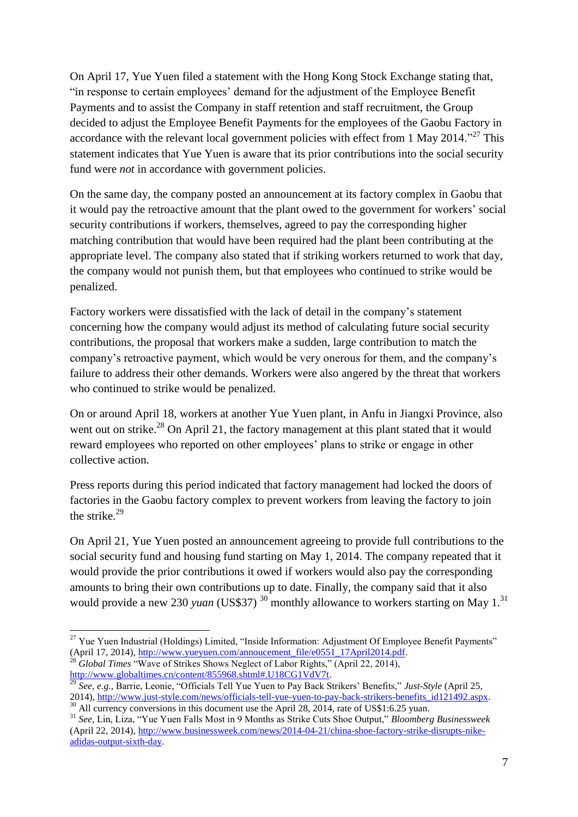On April 17, Yue Yuen filed a statement with the Hong Kong Stock Exchange stating that, "in response to certain employees' demand for the adjustment of the Employee Benefit Payments and to assist the Company in staff retention and staff recruitment, the Group decided to adjust the Employee Benefit Payments for the employees of the Gaobu Factory in accordance with the relevant local government policies with effect from 1 May 2014.<sup> $27$ </sup> This statement indicates that Yue Yuen is aware that its prior contributions into the social security fund were *not* in accordance with government policies.

On the same day, the company posted an announcement at its factory complex in Gaobu that it would pay the retroactive amount that the plant owed to the government for workers' social security contributions if workers, themselves, agreed to pay the corresponding higher matching contribution that would have been required had the plant been contributing at the appropriate level. The company also stated that if striking workers returned to work that day, the company would not punish them, but that employees who continued to strike would be penalized.

Factory workers were dissatisfied with the lack of detail in the company's statement concerning how the company would adjust its method of calculating future social security contributions, the proposal that workers make a sudden, large contribution to match the company's retroactive payment, which would be very onerous for them, and the company's failure to address their other demands. Workers were also angered by the threat that workers who continued to strike would be penalized.

On or around April 18, workers at another Yue Yuen plant, in Anfu in Jiangxi Province, also went out on strike.<sup>28</sup> On April 21, the factory management at this plant stated that it would reward employees who reported on other employees' plans to strike or engage in other collective action.

Press reports during this period indicated that factory management had locked the doors of factories in the Gaobu factory complex to prevent workers from leaving the factory to join the strike. $29$ 

On April 21, Yue Yuen posted an announcement agreeing to provide full contributions to the social security fund and housing fund starting on May 1, 2014. The company repeated that it would provide the prior contributions it owed if workers would also pay the corresponding amounts to bring their own contributions up to date. Finally, the company said that it also would provide a new 230 *yuan* (US\$37)<sup>30</sup> monthly allowance to workers starting on May 1.<sup>31</sup>

<sup>28</sup> Global Times "Wave of Strikes Shows Neglect of Labor Rights," (April 22, 2014), [http://www.globaltimes.cn/content/855968.shtml#.U18CG1VdV7t.](http://www.globaltimes.cn/content/855968.shtml#.U18CG1VdV7t)

**.** 

<sup>&</sup>lt;sup>27</sup> Yue Yuen Industrial (Holdings) Limited, "Inside Information: Adjustment Of Employee Benefit Payments" (April 17, 2014), [http://www.yueyuen.com/annoucement\\_file/e0551\\_17April2014.pdf.](http://www.yueyuen.com/annoucement_file/e0551_17April2014.pdf)

<sup>29</sup> *See*, *e.g.,* Barrie, Leonie, "Officials Tell Yue Yuen to Pay Back Strikers' Benefits," *Just-Style* (April 25, 2014), [http://www.just-style.com/news/officials-tell-yue-yuen-to-pay-back-strikers-benefits\\_id121492.aspx.](http://www.just-style.com/news/officials-tell-yue-yuen-to-pay-back-strikers-benefits_id121492.aspx)  $\frac{30}{20}$  All currency conversions in this document use the April 28, 2014, rate of US\$1:6.25 yuan.

<sup>31</sup> *See,* Lin, Liza, "Yue Yuen Falls Most in 9 Months as Strike Cuts Shoe Output," *Bloomberg Businessweek* (April 22, 2014), [http://www.businessweek.com/news/2014-04-21/china-shoe-factory-strike-disrupts-nike](http://www.businessweek.com/news/2014-04-21/china-shoe-factory-strike-disrupts-nike-adidas-output-sixth-day)[adidas-output-sixth-day.](http://www.businessweek.com/news/2014-04-21/china-shoe-factory-strike-disrupts-nike-adidas-output-sixth-day)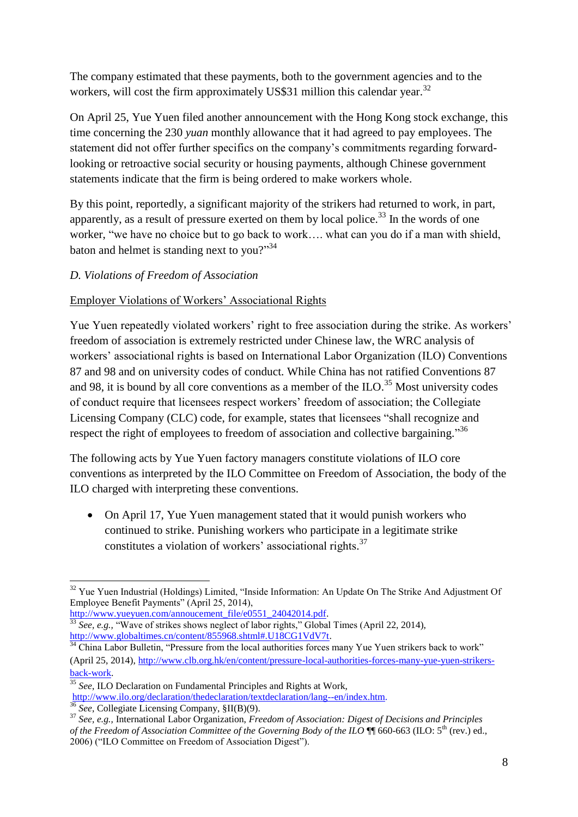The company estimated that these payments, both to the government agencies and to the workers, will cost the firm approximately US\$31 million this calendar year.<sup>32</sup>

On April 25, Yue Yuen filed another announcement with the Hong Kong stock exchange, this time concerning the 230 *yuan* monthly allowance that it had agreed to pay employees. The statement did not offer further specifics on the company's commitments regarding forwardlooking or retroactive social security or housing payments, although Chinese government statements indicate that the firm is being ordered to make workers whole.

By this point, reportedly, a significant majority of the strikers had returned to work, in part, apparently, as a result of pressure exerted on them by local police.<sup>33</sup> In the words of one worker, "we have no choice but to go back to work…. what can you do if a man with shield, baton and helmet is standing next to you?"<sup>34</sup>

# *D. Violations of Freedom of Association*

# Employer Violations of Workers' Associational Rights

Yue Yuen repeatedly violated workers' right to free association during the strike. As workers' freedom of association is extremely restricted under Chinese law, the WRC analysis of workers' associational rights is based on International Labor Organization (ILO) Conventions 87 and 98 and on university codes of conduct. While China has not ratified Conventions 87 and 98, it is bound by all core conventions as a member of the ILO.<sup>35</sup> Most university codes of conduct require that licensees respect workers' freedom of association; the Collegiate Licensing Company (CLC) code, for example, states that licensees "shall recognize and respect the right of employees to freedom of association and collective bargaining."<sup>36</sup>

The following acts by Yue Yuen factory managers constitute violations of ILO core conventions as interpreted by the ILO Committee on Freedom of Association, the body of the ILO charged with interpreting these conventions.

• On April 17, Yue Yuen management stated that it would punish workers who continued to strike. Punishing workers who participate in a legitimate strike constitutes a violation of workers' associational rights.<sup>37</sup>

<sup>1</sup>  $32$  Yue Yuen Industrial (Holdings) Limited, "Inside Information: An Update On The Strike And Adjustment Of Employee Benefit Payments" (April 25, 2014),

[http://www.yueyuen.com/annoucement\\_file/e0551\\_24042014.pdf.](http://www.yueyuen.com/annoucement_file/e0551_24042014.pdf) <sup>33</sup> See, e.g., "Wave of strikes shows neglect of labor rights," Global Times (April 22, 2014), [http://www.globaltimes.cn/content/855968.shtml#.U18CG1VdV7t.](http://www.globaltimes.cn/content/855968.shtml#.U18CG1VdV7t)

 $34$  China Labor Bulletin, "Pressure from the local authorities forces many Yue Yuen strikers back to work" (April 25, 2014), [http://www.clb.org.hk/en/content/pressure-local-authorities-forces-many-yue-yuen-strikers](http://www.clb.org.hk/en/content/pressure-local-authorities-forces-many-yue-yuen-strikers-back-work)[back-work.](http://www.clb.org.hk/en/content/pressure-local-authorities-forces-many-yue-yuen-strikers-back-work)

<sup>&</sup>lt;sup>35</sup> See, ILO Declaration on Fundamental Principles and Rights at Work,

[http://www.ilo.org/declaration/thedeclaration/textdeclaration/lang--en/index.htm.](http://www.ilo.org/declaration/thedeclaration/textdeclaration/lang--en/index.htm)

<sup>&</sup>lt;sup>36</sup> See, Collegiate Licensing Company,  $\S II(B)(9)$ .

<sup>37</sup> *See, e.g.,* International Labor Organization, *Freedom of Association: Digest of Decisions and Principles of the Freedom of Association Committee of the Governing Body of the ILO*  $\P$  660-663 (ILO: 5<sup>th</sup> (rev.) ed., 2006) ("ILO Committee on Freedom of Association Digest").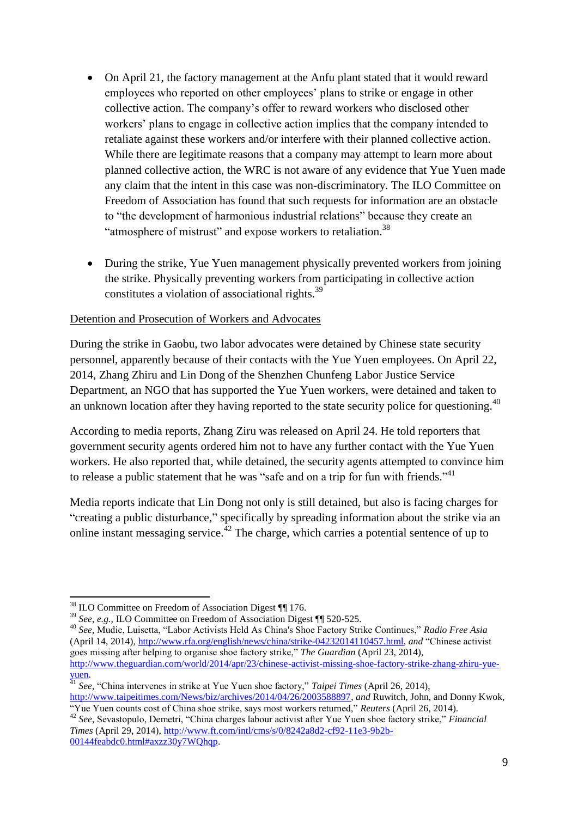- On April 21, the factory management at the Anfu plant stated that it would reward employees who reported on other employees' plans to strike or engage in other collective action. The company's offer to reward workers who disclosed other workers' plans to engage in collective action implies that the company intended to retaliate against these workers and/or interfere with their planned collective action. While there are legitimate reasons that a company may attempt to learn more about planned collective action, the WRC is not aware of any evidence that Yue Yuen made any claim that the intent in this case was non-discriminatory. The ILO Committee on Freedom of Association has found that such requests for information are an obstacle to "the development of harmonious industrial relations" because they create an "atmosphere of mistrust" and expose workers to retaliation.<sup>38</sup>
- During the strike, Yue Yuen management physically prevented workers from joining the strike. Physically preventing workers from participating in collective action constitutes a violation of associational rights.<sup>39</sup>

# Detention and Prosecution of Workers and Advocates

During the strike in Gaobu, two labor advocates were detained by Chinese state security personnel, apparently because of their contacts with the Yue Yuen employees. On April 22, 2014, Zhang Zhiru and Lin Dong of the Shenzhen Chunfeng Labor Justice Service Department, an NGO that has supported the Yue Yuen workers, were detained and taken to an unknown location after they having reported to the state security police for questioning.<sup>40</sup>

According to media reports, Zhang Ziru was released on April 24. He told reporters that government security agents ordered him not to have any further contact with the Yue Yuen workers. He also reported that, while detained, the security agents attempted to convince him to release a public statement that he was "safe and on a trip for fun with friends."<sup>41</sup>

Media reports indicate that Lin Dong not only is still detained, but also is facing charges for "creating a public disturbance," specifically by spreading information about the strike via an online instant messaging service.<sup>42</sup> The charge, which carries a potential sentence of up to

**.** 

<sup>38</sup> ILO Committee on Freedom of Association Digest ¶¶ 176.

<sup>&</sup>lt;sup>39</sup> *See, e.g.,* ILO Committee on Freedom of Association Digest ¶¶ 520-525.

<sup>40</sup> *See,* Mudie, Luisetta, "Labor Activists Held As China's Shoe Factory Strike Continues," *Radio Free Asia* (April 14, 2014), [http://www.rfa.org/english/news/china/strike-04232014110457.html,](http://www.rfa.org/english/news/china/strike-04232014110457.html) *and* "Chinese activist goes missing after helping to organise shoe factory strike," *The Guardian* (April 23, 2014), [http://www.theguardian.com/world/2014/apr/23/chinese-activist-missing-shoe-factory-strike-zhang-zhiru-yue](http://www.theguardian.com/world/2014/apr/23/chinese-activist-missing-shoe-factory-strike-zhang-zhiru-yue-yuen)[yuen.](http://www.theguardian.com/world/2014/apr/23/chinese-activist-missing-shoe-factory-strike-zhang-zhiru-yue-yuen)

<sup>41</sup> *See,* "China intervenes in strike at Yue Yuen shoe factory," *Taipei Times* (April 26, 2014), [http://www.taipeitimes.com/News/biz/archives/2014/04/26/2003588897,](http://www.taipeitimes.com/News/biz/archives/2014/04/26/2003588897) *and* Ruwitch, John, and Donny Kwok,

<sup>&</sup>quot;Yue Yuen counts cost of China shoe strike, says most workers returned," *Reuters* (April 26, 2014).

<sup>42</sup> *See,* Sevastopulo, Demetri, "China charges labour activist after Yue Yuen shoe factory strike," *Financial Times* (April 29, 2014)[, http://www.ft.com/intl/cms/s/0/8242a8d2-cf92-11e3-9b2b-](http://www.ft.com/intl/cms/s/0/8242a8d2-cf92-11e3-9b2b-00144feabdc0.html#axzz30y7WQhqp)[00144feabdc0.html#axzz30y7WQhqp.](http://www.ft.com/intl/cms/s/0/8242a8d2-cf92-11e3-9b2b-00144feabdc0.html#axzz30y7WQhqp)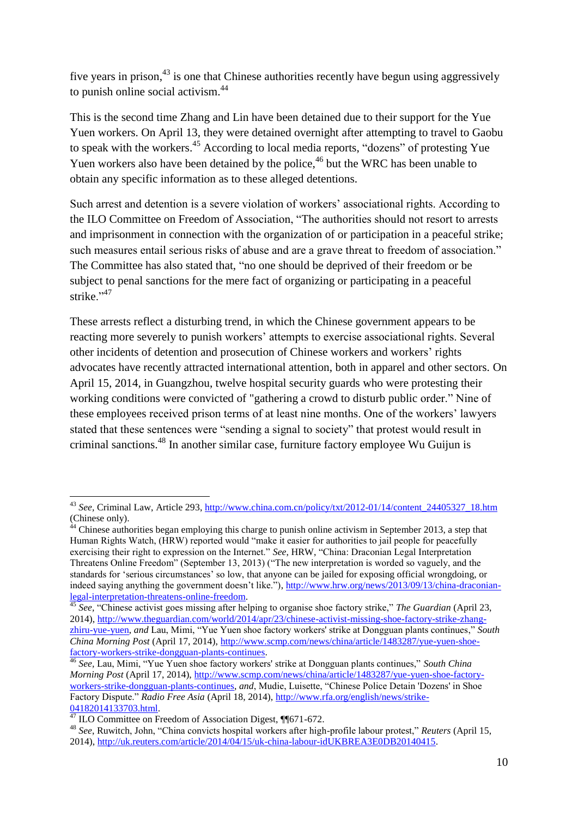five years in prison,<sup>43</sup> is one that Chinese authorities recently have begun using aggressively to punish online social activism.<sup>44</sup>

This is the second time Zhang and Lin have been detained due to their support for the Yue Yuen workers. On April 13, they were detained overnight after attempting to travel to Gaobu to speak with the workers.<sup>45</sup> According to local media reports, "dozens" of protesting Yue Yuen workers also have been detained by the police,<sup>46</sup> but the WRC has been unable to obtain any specific information as to these alleged detentions.

Such arrest and detention is a severe violation of workers' associational rights. According to the ILO Committee on Freedom of Association, "The authorities should not resort to arrests and imprisonment in connection with the organization of or participation in a peaceful strike; such measures entail serious risks of abuse and are a grave threat to freedom of association." The Committee has also stated that, "no one should be deprived of their freedom or be subject to penal sanctions for the mere fact of organizing or participating in a peaceful strike $"$ <sup>47</sup>

These arrests reflect a disturbing trend, in which the Chinese government appears to be reacting more severely to punish workers' attempts to exercise associational rights. Several other incidents of detention and prosecution of Chinese workers and workers' rights advocates have recently attracted international attention, both in apparel and other sectors. On April 15, 2014, in Guangzhou, twelve hospital security guards who were protesting their working conditions were convicted of "gathering a crowd to disturb public order." Nine of these employees received prison terms of at least nine months. One of the workers' lawyers stated that these sentences were "sending a signal to society" that protest would result in criminal sanctions.<sup>48</sup> In another similar case, furniture factory employee Wu Guijun is

 $\overline{\phantom{a}}$ 

<sup>43</sup> *See,* Criminal Law, Article 293, [http://www.china.com.cn/policy/txt/2012-01/14/content\\_24405327\\_18.htm](http://www.china.com.cn/policy/txt/2012-01/14/content_24405327_18.htm) (Chinese only).

 $44$  Chinese authorities began employing this charge to punish online activism in September 2013, a step that Human Rights Watch, (HRW) reported would "make it easier for authorities to jail people for peacefully exercising their right to expression on the Internet." *See*, HRW, "China: Draconian Legal Interpretation Threatens Online Freedom" (September 13, 2013) ("The new interpretation is worded so vaguely, and the standards for 'serious circumstances' so low, that anyone can be jailed for exposing official wrongdoing, or indeed saying anything the government doesn't like."), [http://www.hrw.org/news/2013/09/13/china-draconian](http://www.hrw.org/news/2013/09/13/china-draconian-legal-interpretation-threatens-online-freedom)[legal-interpretation-threatens-online-freedom.](http://www.hrw.org/news/2013/09/13/china-draconian-legal-interpretation-threatens-online-freedom)

<sup>45</sup> *See,* "Chinese activist goes missing after helping to organise shoe factory strike," *The Guardian* (April 23, 2014), [http://www.theguardian.com/world/2014/apr/23/chinese-activist-missing-shoe-factory-strike-zhang](http://www.theguardian.com/world/2014/apr/23/chinese-activist-missing-shoe-factory-strike-zhang-zhiru-yue-yuen)[zhiru-yue-yuen,](http://www.theguardian.com/world/2014/apr/23/chinese-activist-missing-shoe-factory-strike-zhang-zhiru-yue-yuen) *and* Lau, Mimi, "Yue Yuen shoe factory workers' strike at Dongguan plants continues," *South China Morning Post* (April 17, 2014), [http://www.scmp.com/news/china/article/1483287/yue-yuen-shoe](http://www.scmp.com/news/china/article/1483287/yue-yuen-shoe-factory-workers-strike-dongguan-plants-continues)[factory-workers-strike-dongguan-plants-continues.](http://www.scmp.com/news/china/article/1483287/yue-yuen-shoe-factory-workers-strike-dongguan-plants-continues)

<sup>46</sup> *See,* Lau, Mimi, "Yue Yuen shoe factory workers' strike at Dongguan plants continues," *South China Morning Post* (April 17, 2014), [http://www.scmp.com/news/china/article/1483287/yue-yuen-shoe-factory](http://www.scmp.com/news/china/article/1483287/yue-yuen-shoe-factory-workers-strike-dongguan-plants-continues)[workers-strike-dongguan-plants-continues,](http://www.scmp.com/news/china/article/1483287/yue-yuen-shoe-factory-workers-strike-dongguan-plants-continues) *and*, Mudie, Luisette, "Chinese Police Detain 'Dozens' in Shoe Factory Dispute." *Radio Free Asia* (April 18, 2014), [http://www.rfa.org/english/news/strike-](http://www.rfa.org/english/news/strike-04182014133703.html)[04182014133703.html.](http://www.rfa.org/english/news/strike-04182014133703.html)

<sup>47</sup> ILO Committee on Freedom of Association Digest, ¶¶671-672.

<sup>48</sup> *See*, Ruwitch, John, "China convicts hospital workers after high-profile labour protest," *Reuters* (April 15, 2014), [http://uk.reuters.com/article/2014/04/15/uk-china-labour-idUKBREA3E0DB20140415.](http://uk.reuters.com/article/2014/04/15/uk-china-labour-idUKBREA3E0DB20140415)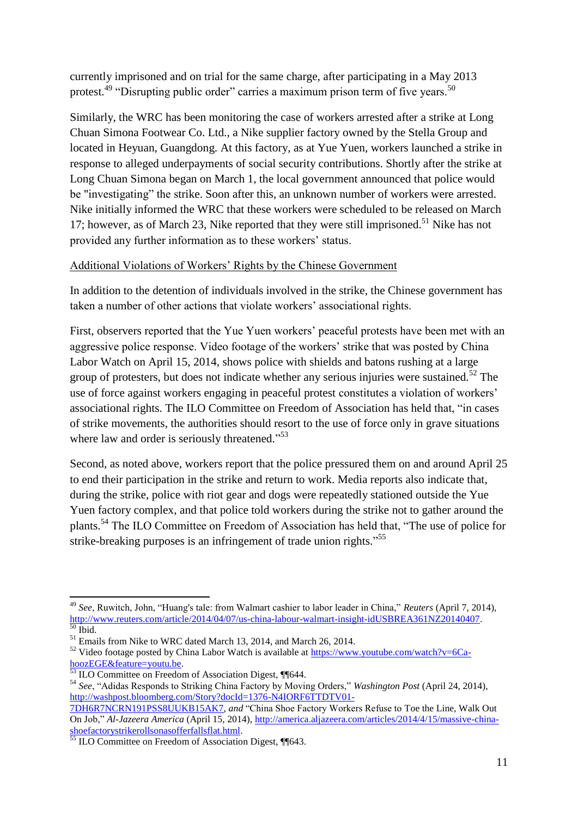currently imprisoned and on trial for the same charge, after participating in a May 2013 protest.<sup>49</sup> "Disrupting public order" carries a maximum prison term of five years.<sup>50</sup>

Similarly, the WRC has been monitoring the case of workers arrested after a strike at Long Chuan Simona Footwear Co. Ltd., a Nike supplier factory owned by the Stella Group and located in Heyuan, Guangdong. At this factory, as at Yue Yuen, workers launched a strike in response to alleged underpayments of social security contributions. Shortly after the strike at Long Chuan Simona began on March 1, the local government announced that police would be "investigating" the strike. Soon after this, an unknown number of workers were arrested. Nike initially informed the WRC that these workers were scheduled to be released on March 17; however, as of March 23, Nike reported that they were still imprisoned.<sup>51</sup> Nike has not provided any further information as to these workers' status.

# Additional Violations of Workers' Rights by the Chinese Government

In addition to the detention of individuals involved in the strike, the Chinese government has taken a number of other actions that violate workers' associational rights.

First, observers reported that the Yue Yuen workers' peaceful protests have been met with an aggressive police response. Video footage of the workers' strike that was posted by China Labor Watch on April 15, 2014, shows police with shields and batons rushing at a large group of protesters, but does not indicate whether any serious injuries were sustained.<sup>52</sup> The use of force against workers engaging in peaceful protest constitutes a violation of workers' associational rights. The ILO Committee on Freedom of Association has held that, "in cases of strike movements, the authorities should resort to the use of force only in grave situations where law and order is seriously threatened."<sup>53</sup>

Second, as noted above, workers report that the police pressured them on and around April 25 to end their participation in the strike and return to work. Media reports also indicate that, during the strike, police with riot gear and dogs were repeatedly stationed outside the Yue Yuen factory complex, and that police told workers during the strike not to gather around the plants.<sup>54</sup> The ILO Committee on Freedom of Association has held that, "The use of police for strike-breaking purposes is an infringement of trade union rights."<sup>55</sup>

**<sup>.</sup>** <sup>49</sup> *See*, Ruwitch, John, "Huang's tale: from Walmart cashier to labor leader in China," *Reuters* (April 7, 2014), [http://www.reuters.com/article/2014/04/07/us-china-labour-walmart-insight-idUSBREA361NZ20140407.](http://www.reuters.com/article/2014/04/07/us-china-labour-walmart-insight-idUSBREA361NZ20140407)  $^0$  Ibid.

<sup>&</sup>lt;sup>51</sup> Emails from Nike to WRC dated March 13, 2014, and March 26, 2014.

 $52$  Video footage posted by China Labor Watch is available at [https://www.youtube.com/watch?v=6Ca](https://www.youtube.com/watch?v=6Ca-hoozEGE&feature=youtu.be)[hoozEGE&feature=youtu.be.](https://www.youtube.com/watch?v=6Ca-hoozEGE&feature=youtu.be)

<sup>&</sup>lt;sup>53</sup> ILO Committee on Freedom of Association Digest, ¶¶644.

<sup>54</sup> *See*, "Adidas Responds to Striking China Factory by Moving Orders," *Washington Post* (April 24, 2014), [http://washpost.bloomberg.com/Story?docId=1376-N4IORF6TTDTV01-](http://washpost.bloomberg.com/Story?docId=1376-N4IORF6TTDTV01-7DH6R7NCRN191PSS8UUKB15AK7)

[<sup>7</sup>DH6R7NCRN191PSS8UUKB15AK7,](http://washpost.bloomberg.com/Story?docId=1376-N4IORF6TTDTV01-7DH6R7NCRN191PSS8UUKB15AK7) *and* "China Shoe Factory Workers Refuse to Toe the Line, Walk Out On Job," *Al-Jazeera America* (April 15, 2014), [http://america.aljazeera.com/articles/2014/4/15/massive-china](http://america.aljazeera.com/articles/2014/4/15/massive-china-shoefactorystrikerollsonasofferfallsflat.html)[shoefactorystrikerollsonasofferfallsflat.html.](http://america.aljazeera.com/articles/2014/4/15/massive-china-shoefactorystrikerollsonasofferfallsflat.html)

<sup>&</sup>lt;sup>55</sup> ILO Committee on Freedom of Association Digest, ¶643.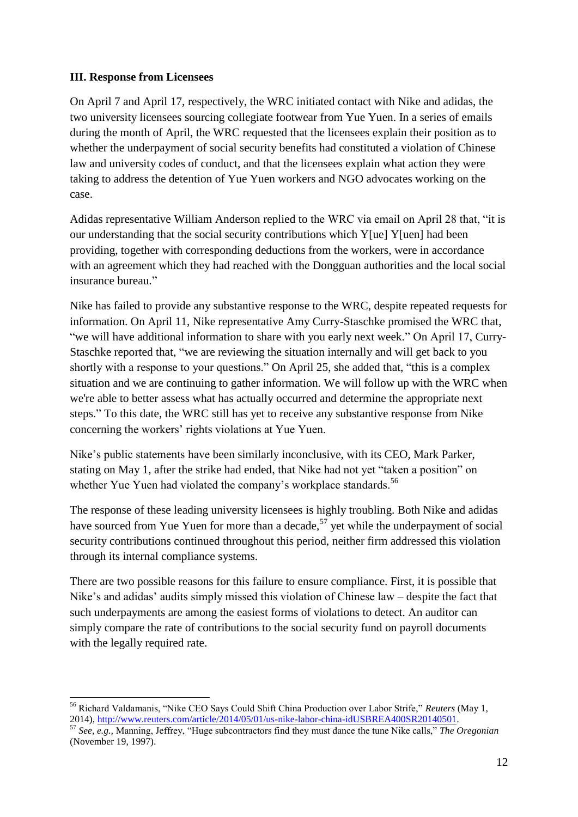#### **III. Response from Licensees**

On April 7 and April 17, respectively, the WRC initiated contact with Nike and adidas, the two university licensees sourcing collegiate footwear from Yue Yuen. In a series of emails during the month of April, the WRC requested that the licensees explain their position as to whether the underpayment of social security benefits had constituted a violation of Chinese law and university codes of conduct, and that the licensees explain what action they were taking to address the detention of Yue Yuen workers and NGO advocates working on the case.

Adidas representative William Anderson replied to the WRC via email on April 28 that, "it is our understanding that the social security contributions which Y[ue] Y[uen] had been providing, together with corresponding deductions from the workers, were in accordance with an agreement which they had reached with the Dongguan authorities and the local social insurance bureau."

Nike has failed to provide any substantive response to the WRC, despite repeated requests for information. On April 11, Nike representative Amy Curry-Staschke promised the WRC that, "we will have additional information to share with you early next week." On April 17, Curry-Staschke reported that, "we are reviewing the situation internally and will get back to you shortly with a response to your questions." On April 25, she added that, "this is a complex situation and we are continuing to gather information. We will follow up with the WRC when we're able to better assess what has actually occurred and determine the appropriate next steps." To this date, the WRC still has yet to receive any substantive response from Nike concerning the workers' rights violations at Yue Yuen.

Nike's public statements have been similarly inconclusive, with its CEO, Mark Parker, stating on May 1, after the strike had ended, that Nike had not yet "taken a position" on whether Yue Yuen had violated the company's workplace standards.<sup>56</sup>

The response of these leading university licensees is highly troubling. Both Nike and adidas have sourced from Yue Yuen for more than a decade,<sup>57</sup> yet while the underpayment of social security contributions continued throughout this period, neither firm addressed this violation through its internal compliance systems.

There are two possible reasons for this failure to ensure compliance. First, it is possible that Nike's and adidas' audits simply missed this violation of Chinese law – despite the fact that such underpayments are among the easiest forms of violations to detect. An auditor can simply compare the rate of contributions to the social security fund on payroll documents with the legally required rate.

**<sup>.</sup>** <sup>56</sup> Richard Valdamanis, "Nike CEO Says Could Shift China Production over Labor Strife," *Reuters* (May 1, 2014), [http://www.reuters.com/article/2014/05/01/us-nike-labor-china-idUSBREA400SR20140501.](http://www.reuters.com/article/2014/05/01/us-nike-labor-china-idUSBREA400SR20140501)

<sup>57</sup> *See, e.g.,* Manning, Jeffrey, "Huge subcontractors find they must dance the tune Nike calls," *The Oregonian* (November 19, 1997).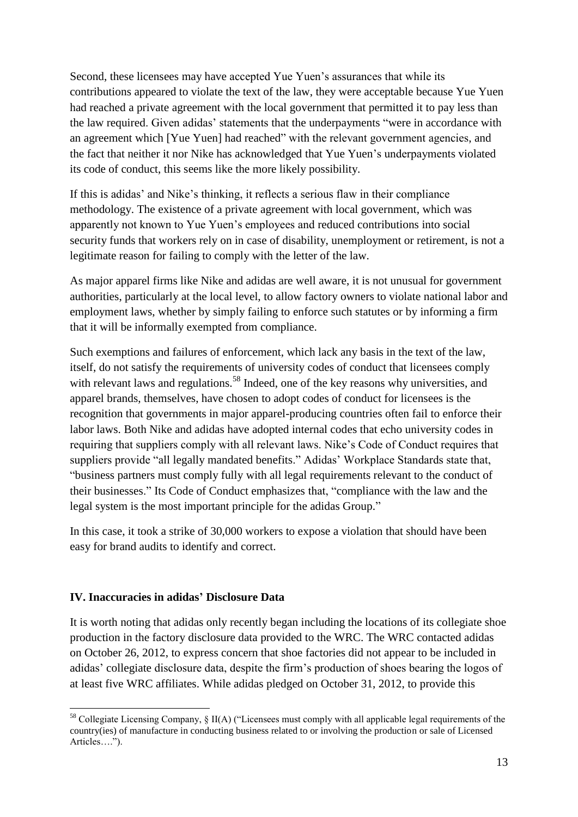Second, these licensees may have accepted Yue Yuen's assurances that while its contributions appeared to violate the text of the law, they were acceptable because Yue Yuen had reached a private agreement with the local government that permitted it to pay less than the law required. Given adidas' statements that the underpayments "were in accordance with an agreement which [Yue Yuen] had reached" with the relevant government agencies, and the fact that neither it nor Nike has acknowledged that Yue Yuen's underpayments violated its code of conduct, this seems like the more likely possibility.

If this is adidas' and Nike's thinking, it reflects a serious flaw in their compliance methodology. The existence of a private agreement with local government, which was apparently not known to Yue Yuen's employees and reduced contributions into social security funds that workers rely on in case of disability, unemployment or retirement, is not a legitimate reason for failing to comply with the letter of the law.

As major apparel firms like Nike and adidas are well aware, it is not unusual for government authorities, particularly at the local level, to allow factory owners to violate national labor and employment laws, whether by simply failing to enforce such statutes or by informing a firm that it will be informally exempted from compliance.

Such exemptions and failures of enforcement, which lack any basis in the text of the law, itself, do not satisfy the requirements of university codes of conduct that licensees comply with relevant laws and regulations.<sup>58</sup> Indeed, one of the key reasons why universities, and apparel brands, themselves, have chosen to adopt codes of conduct for licensees is the recognition that governments in major apparel-producing countries often fail to enforce their labor laws. Both Nike and adidas have adopted internal codes that echo university codes in requiring that suppliers comply with all relevant laws. Nike's Code of Conduct requires that suppliers provide "all legally mandated benefits." Adidas' Workplace Standards state that, "business partners must comply fully with all legal requirements relevant to the conduct of their businesses." Its Code of Conduct emphasizes that, "compliance with the law and the legal system is the most important principle for the adidas Group."

In this case, it took a strike of 30,000 workers to expose a violation that should have been easy for brand audits to identify and correct.

#### **IV. Inaccuracies in adidas' Disclosure Data**

It is worth noting that adidas only recently began including the locations of its collegiate shoe production in the factory disclosure data provided to the WRC. The WRC contacted adidas on October 26, 2012, to express concern that shoe factories did not appear to be included in adidas' collegiate disclosure data, despite the firm's production of shoes bearing the logos of at least five WRC affiliates. While adidas pledged on October 31, 2012, to provide this

 $\overline{\phantom{a}}$  $58$  Collegiate Licensing Company, § II(A) ("Licensees must comply with all applicable legal requirements of the country(ies) of manufacture in conducting business related to or involving the production or sale of Licensed Articles….").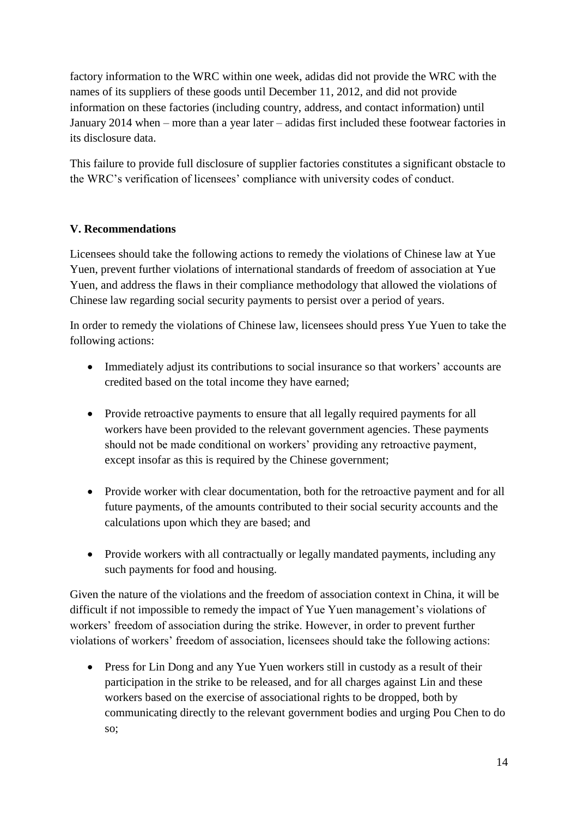factory information to the WRC within one week, adidas did not provide the WRC with the names of its suppliers of these goods until December 11, 2012, and did not provide information on these factories (including country, address, and contact information) until January 2014 when – more than a year later – adidas first included these footwear factories in its disclosure data.

This failure to provide full disclosure of supplier factories constitutes a significant obstacle to the WRC's verification of licensees' compliance with university codes of conduct.

# **V. Recommendations**

Licensees should take the following actions to remedy the violations of Chinese law at Yue Yuen, prevent further violations of international standards of freedom of association at Yue Yuen, and address the flaws in their compliance methodology that allowed the violations of Chinese law regarding social security payments to persist over a period of years.

In order to remedy the violations of Chinese law, licensees should press Yue Yuen to take the following actions:

- Immediately adjust its contributions to social insurance so that workers' accounts are credited based on the total income they have earned;
- Provide retroactive payments to ensure that all legally required payments for all workers have been provided to the relevant government agencies. These payments should not be made conditional on workers' providing any retroactive payment, except insofar as this is required by the Chinese government;
- Provide worker with clear documentation, both for the retroactive payment and for all future payments, of the amounts contributed to their social security accounts and the calculations upon which they are based; and
- Provide workers with all contractually or legally mandated payments, including any such payments for food and housing.

Given the nature of the violations and the freedom of association context in China, it will be difficult if not impossible to remedy the impact of Yue Yuen management's violations of workers' freedom of association during the strike. However, in order to prevent further violations of workers' freedom of association, licensees should take the following actions:

• Press for Lin Dong and any Yue Yuen workers still in custody as a result of their participation in the strike to be released, and for all charges against Lin and these workers based on the exercise of associational rights to be dropped, both by communicating directly to the relevant government bodies and urging Pou Chen to do so;